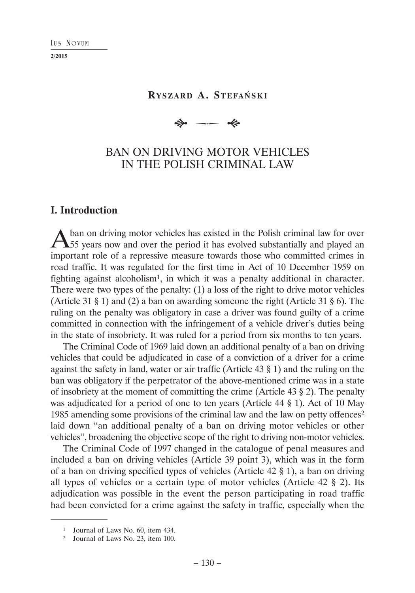## **RYSZARD A. STEFAŃSKI**

 $\Rightarrow$  $\overline{\phantom{a}}$ 

# BAN ON DRIVING MOTOR VEHICLES IN THE POLISH CRIMINAL LAW

# **I. Introduction**

A ban on driving motor vehicles has existed in the Polish criminal law for over 55 years now and over the period it has evolved substantially and played an important role of a repressive measure towards those who committed crimes in road traffic. It was regulated for the first time in Act of 10 December 1959 on fighting against alcoholism<sup>1</sup>, in which it was a penalty additional in character. There were two types of the penalty: (1) a loss of the right to drive motor vehicles (Article 31 § 1) and (2) a ban on awarding someone the right (Article 31 § 6). The ruling on the penalty was obligatory in case a driver was found guilty of a crime committed in connection with the infringement of a vehicle driver's duties being in the state of insobriety. It was ruled for a period from six months to ten years.

The Criminal Code of 1969 laid down an additional penalty of a ban on driving vehicles that could be adjudicated in case of a conviction of a driver for a crime against the safety in land, water or air traffic (Article 43 § 1) and the ruling on the ban was obligatory if the perpetrator of the above-mentioned crime was in a state of insobriety at the moment of committing the crime (Article 43 § 2). The penalty was adjudicated for a period of one to ten years (Article 44 § 1). Act of 10 May 1985 amending some provisions of the criminal law and the law on petty offences<sup>2</sup> laid down "an additional penalty of a ban on driving motor vehicles or other vehicles", broadening the objective scope of the right to driving non-motor vehicles.

The Criminal Code of 1997 changed in the catalogue of penal measures and included a ban on driving vehicles (Article 39 point 3), which was in the form of a ban on driving specified types of vehicles (Article 42 § 1), a ban on driving all types of vehicles or a certain type of motor vehicles (Article 42 § 2). Its adjudication was possible in the event the person participating in road traffic had been convicted for a crime against the safety in traffic, especially when the

<sup>1</sup> Journal of Laws No. 60, item 434.

<sup>2</sup> Journal of Laws No. 23, item 100.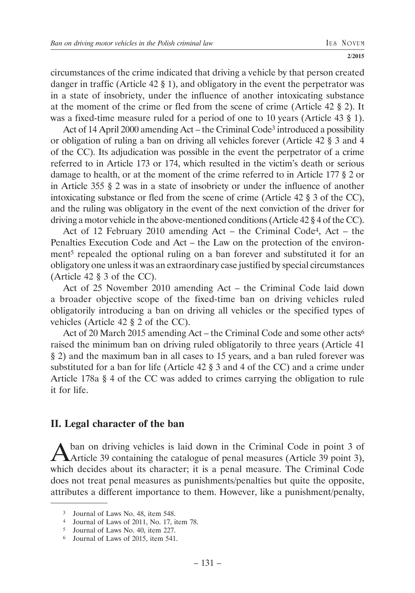circumstances of the crime indicated that driving a vehicle by that person created danger in traffic (Article 42 § 1), and obligatory in the event the perpetrator was in a state of insobriety, under the influence of another intoxicating substance at the moment of the crime or fled from the scene of crime (Article 42 § 2). It was a fixed-time measure ruled for a period of one to 10 years (Article 43 § 1).

Act of 14 April 2000 amending Act – the Criminal Code<sup>3</sup> introduced a possibility or obligation of ruling a ban on driving all vehicles forever (Article 42 § 3 and 4 of the CC). Its adjudication was possible in the event the perpetrator of a crime referred to in Article 173 or 174, which resulted in the victim's death or serious damage to health, or at the moment of the crime referred to in Article 177 § 2 or in Article 355 § 2 was in a state of insobriety or under the influence of another intoxicating substance or fled from the scene of crime (Article 42 § 3 of the CC), and the ruling was obligatory in the event of the next conviction of the driver for driving a motor vehicle in the above-mentioned conditions (Article 42 § 4 of the CC).

Act of 12 February 2010 amending Act – the Criminal Code4, Act – the Penalties Execution Code and Act – the Law on the protection of the environment5 repealed the optional ruling on a ban forever and substituted it for an obligatory one unless it was an extraordinary case justified by special circumstances (Article 42 § 3 of the CC).

Act of 25 November 2010 amending Act – the Criminal Code laid down a broader objective scope of the fixed-time ban on driving vehicles ruled obligatorily introducing a ban on driving all vehicles or the specified types of vehicles (Article 42 § 2 of the CC).

Act of 20 March 2015 amending Act – the Criminal Code and some other acts6 raised the minimum ban on driving ruled obligatorily to three years (Article 41 § 2) and the maximum ban in all cases to 15 years, and a ban ruled forever was substituted for a ban for life (Article 42 § 3 and 4 of the CC) and a crime under Article 178a § 4 of the CC was added to crimes carrying the obligation to rule it for life.

# **II. Legal character of the ban**

A ban on driving vehicles is laid down in the Criminal Code in point 3 of Article 39 containing the catalogue of penal measures (Article 39 point 3), which decides about its character; it is a penal measure. The Criminal Code does not treat penal measures as punishments/penalties but quite the opposite, attributes a different importance to them. However, like a punishment/penalty,

<sup>3</sup> Journal of Laws No. 48, item 548.

<sup>4</sup> Journal of Laws of 2011, No. 17, item 78.

<sup>5</sup> Journal of Laws No. 40, item 227.

<sup>6</sup> Journal of Laws of 2015, item 541.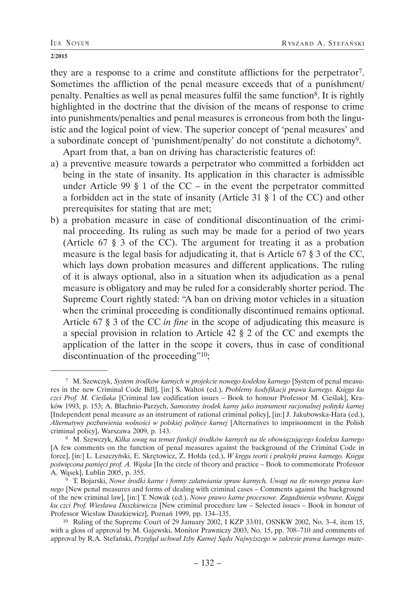they are a response to a crime and constitute afflictions for the perpetrator7. Sometimes the affliction of the penal measure exceeds that of a punishment/ penalty. Penalties as well as penal measures fulfil the same function8. It is rightly highlighted in the doctrine that the division of the means of response to crime into punishments/penalties and penal measures is erroneous from both the linguistic and the logical point of view. The superior concept of 'penal measures' and a subordinate concept of 'punishment/penalty' do not constitute a dichotomy9.

Apart from that, a ban on driving has characteristic features of:

- a) a preventive measure towards a perpetrator who committed a forbidden act being in the state of insanity. Its application in this character is admissible under Article 99  $\S$  1 of the CC – in the event the perpetrator committed a forbidden act in the state of insanity (Article 31 § 1 of the CC) and other prerequisites for stating that are met;
- b) a probation measure in case of conditional discontinuation of the criminal proceeding. Its ruling as such may be made for a period of two years (Article 67 § 3 of the CC). The argument for treating it as a probation measure is the legal basis for adjudicating it, that is Article 67 § 3 of the CC, which lays down probation measures and different applications. The ruling of it is always optional, also in a situation when its adjudication as a penal measure is obligatory and may be ruled for a considerably shorter period. The Supreme Court rightly stated: "A ban on driving motor vehicles in a situation when the criminal proceeding is conditionally discontinued remains optional. Article 67 § 3 of the CC *in fine* in the scope of adjudicating this measure is a special provision in relation to Article 42 § 2 of the CC and exempts the application of the latter in the scope it covers, thus in case of conditional discontinuation of the proceeding"10;

 <sup>7</sup> M. Szewczyk, *System środków karnych w projekcie nowego kodeksu karnego* [System of penal measures in the new Criminal Code Bill], [in:] S. Waltoś (ed.), *Problemy kodyfikacji prawa karnego. Księga ku czci Prof. M. Cieślaka* [Criminal law codification issues – Book to honour Professor M. Cieślak], Kraków 1993, p. 153; A. Błachnio-Parzych, *Samoistny środek karny jako instrument racjonalnej polityki karnej* [Independent penal measure as an instrument of rational criminal policy], [in:] J. Jakubowska-Hara (ed.), *Alternatywy pozbawienia wolności w polskiej polityce karnej* [Alternatives to imprisonment in the Polish criminal policy], Warszawa 2009, p. 143. 8 M. Szewczyk, *Kilka uwag na temat funkcji środków karnych na tle obowiązującego kodeksu karnego*

<sup>[</sup>A few comments on the function of penal measures against the background of the Criminal Code in force], [in:] L. Leszczyński, E. Skrętowicz, Z. Hołda (ed.), *W kręgu teorii i praktyki prawa karnego. Księga poświęcona pamięci prof. A. Wąska* [In the circle of theory and practice – Book to commemorate Professor A. Wąsek], Lublin 2005, p. 355. 9 T. Bojarski, *Nowe środki karne i formy załatwiania spraw karnych. Uwagi na tle nowego prawa kar-*

*nego* [New penal measures and forms of dealing with criminal cases – Comments against the background of the new criminal law], [in:] T. Nowak (ed.), *Nowe prawo karne procesowe. Zagadnienia wybrane. Księga ku czci Prof. Wiesława Daszkiewicza* [New criminal procedure law – Selected issues – Book in honour of Professor Wiesław Daszkiewicz], Poznań 1999, pp. 134–135.

<sup>10</sup> Ruling of the Supreme Court of 29 January 2002, I KZP 33/01, OSNKW 2002, No. 3–4, item 15, with a gloss of approval by M. Gajewski, Monitor Prawniczy 2003, No. 15, pp. 708–710 and comments of approval by R.A. Stefański, *Przegląd uchwał Izby Karnej Sądu Najwyższego w zakresie prawa karnego mate-*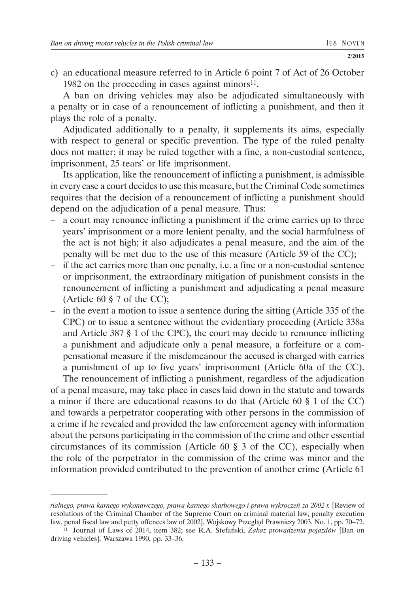c) an educational measure referred to in Article 6 point 7 of Act of 26 October 1982 on the proceeding in cases against minors $11$ .

A ban on driving vehicles may also be adjudicated simultaneously with a penalty or in case of a renouncement of inflicting a punishment, and then it plays the role of a penalty.

Adjudicated additionally to a penalty, it supplements its aims, especially with respect to general or specific prevention. The type of the ruled penalty does not matter; it may be ruled together with a fine, a non-custodial sentence, imprisonment, 25 tears' or life imprisonment.

Its application, like the renouncement of inflicting a punishment, is admissible in every case a court decides to use this measure, but the Criminal Code sometimes requires that the decision of a renouncement of inflicting a punishment should depend on the adjudication of a penal measure. Thus:

- a court may renounce inflicting a punishment if the crime carries up to three years' imprisonment or a more lenient penalty, and the social harmfulness of the act is not high; it also adjudicates a penal measure, and the aim of the penalty will be met due to the use of this measure (Article 59 of the CC);
- if the act carries more than one penalty, i.e. a fine or a non-custodial sentence or imprisonment, the extraordinary mitigation of punishment consists in the renouncement of inflicting a punishment and adjudicating a penal measure (Article 60 § 7 of the CC);
- in the event a motion to issue a sentence during the sitting (Article 335 of the CPC) or to issue a sentence without the evidentiary proceeding (Article 338a and Article 387 § 1 of the CPC), the court may decide to renounce inflicting a punishment and adjudicate only a penal measure, a forfeiture or a compensational measure if the misdemeanour the accused is charged with carries a punishment of up to five years' imprisonment (Article 60a of the CC).

The renouncement of inflicting a punishment, regardless of the adjudication of a penal measure, may take place in cases laid down in the statute and towards a minor if there are educational reasons to do that (Article 60 § 1 of the CC) and towards a perpetrator cooperating with other persons in the commission of a crime if he revealed and provided the law enforcement agency with information about the persons participating in the commission of the crime and other essential circumstances of its commission (Article 60 § 3 of the CC), especially when the role of the perpetrator in the commission of the crime was minor and the information provided contributed to the prevention of another crime (Article 61

*rialnego, prawa karnego wykonawczego, prawa karnego skarbowego i prawa wykroczeń za 2002 r.* [Review of resolutions of the Criminal Chamber of the Supreme Court on criminal material law, penalty execution law, penal fiscal law and petty offences law of 2002], Wojskowy Przegląd Prawniczy 2003, No. 1, pp. 70–72.

<sup>11</sup> Journal of Laws of 2014, item 382; see R.A. Stefański, *Zakaz prowadzenia pojazdów* [Ban on driving vehicles], Warszawa 1990, pp. 33–36.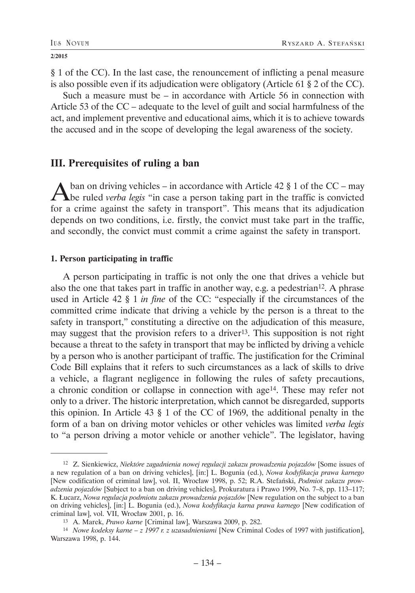§ 1 of the CC). In the last case, the renouncement of inflicting a penal measure is also possible even if its adjudication were obligatory (Article 61 § 2 of the CC).

Such a measure must be – in accordance with Article 56 in connection with Article 53 of the CC – adequate to the level of guilt and social harmfulness of the act, and implement preventive and educational aims, which it is to achieve towards the accused and in the scope of developing the legal awareness of the society.

## **III. Prerequisites of ruling a ban**

A ban on driving vehicles – in accordance with Article 42 § 1 of the CC – may be ruled *verba legis* "in case a person taking part in the traffic is convicted for a crime against the safety in transport". This means that its adjudication depends on two conditions, i.e. firstly, the convict must take part in the traffic, and secondly, the convict must commit a crime against the safety in transport.

### **1. Person participating in traffic**

A person participating in traffic is not only the one that drives a vehicle but also the one that takes part in traffic in another way, e.g. a pedestrian12. A phrase used in Article 42 § 1 *in fine* of the CC: "especially if the circumstances of the committed crime indicate that driving a vehicle by the person is a threat to the safety in transport," constituting a directive on the adjudication of this measure, may suggest that the provision refers to a driver13. This supposition is not right because a threat to the safety in transport that may be inflicted by driving a vehicle by a person who is another participant of traffic. The justification for the Criminal Code Bill explains that it refers to such circumstances as a lack of skills to drive a vehicle, a flagrant negligence in following the rules of safety precautions, a chronic condition or collapse in connection with age14. These may refer not only to a driver. The historic interpretation, which cannot be disregarded, supports this opinion. In Article 43 § 1 of the CC of 1969, the additional penalty in the form of a ban on driving motor vehicles or other vehicles was limited *verba legis* to "a person driving a motor vehicle or another vehicle". The legislator, having

<sup>12</sup> Z. Sienkiewicz, *Niektóre zagadnienia nowej regulacji zakazu prowadzenia pojazdów* [Some issues of a new regulation of a ban on driving vehicles], [in:] L. Bogunia (ed.), *Nowa kodyfikacja prawa karnego* [New codification of criminal law], vol. II, Wrocław 1998, p. 52; R.A. Stefański, *Podmiot zakazu prowadzenia pojazdów* [Subject to a ban on driving vehicles], Prokuratura i Prawo 1999, No. 7–8, pp. 113–117; K. Łucarz, *Nowa regulacja podmiotu zakazu prowadzenia pojazdów* [New regulation on the subject to a ban on driving vehicles], [in:] L. Bogunia (ed.), *Nowa kodyfikacja karna prawa karnego* [New codification of criminal law], vol. VII, Wrocław 2001, p. 16.

<sup>13</sup> A. Marek, *Prawo karne* [Criminal law], Warszawa 2009, p. 282.

<sup>14</sup> *Nowe kodeksy karne – z 1997 r. z uzasadnieniami* [New Criminal Codes of 1997 with justification], Warszawa 1998, p. 144.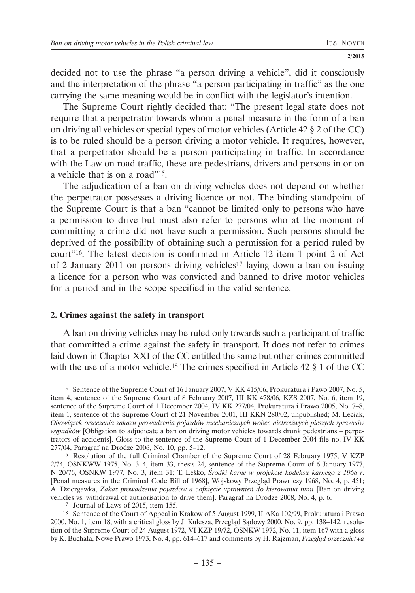decided not to use the phrase "a person driving a vehicle", did it consciously and the interpretation of the phrase "a person participating in traffic" as the one carrying the same meaning would be in conflict with the legislator's intention.

The Supreme Court rightly decided that: "The present legal state does not require that a perpetrator towards whom a penal measure in the form of a ban on driving all vehicles or special types of motor vehicles (Article 42 § 2 of the CC) is to be ruled should be a person driving a motor vehicle. It requires, however, that a perpetrator should be a person participating in traffic. In accordance with the Law on road traffic, these are pedestrians, drivers and persons in or on a vehicle that is on a road"15.

The adjudication of a ban on driving vehicles does not depend on whether the perpetrator possesses a driving licence or not. The binding standpoint of the Supreme Court is that a ban "cannot be limited only to persons who have a permission to drive but must also refer to persons who at the moment of committing a crime did not have such a permission. Such persons should be deprived of the possibility of obtaining such a permission for a period ruled by court"16. The latest decision is confirmed in Article 12 item 1 point 2 of Act of 2 January 2011 on persons driving vehicles<sup>17</sup> laying down a ban on issuing a licence for a person who was convicted and banned to drive motor vehicles for a period and in the scope specified in the valid sentence.

### **2. Crimes against the safety in transport**

A ban on driving vehicles may be ruled only towards such a participant of traffic that committed a crime against the safety in transport. It does not refer to crimes laid down in Chapter XXI of the CC entitled the same but other crimes committed with the use of a motor vehicle.<sup>18</sup> The crimes specified in Article 42 § 1 of the CC

<sup>15</sup> Sentence of the Supreme Court of 16 January 2007, V KK 415/06, Prokuratura i Pawo 2007, No. 5, item 4, sentence of the Supreme Court of 8 February 2007, III KK 478/06, KZS 2007, No. 6, item 19, sentence of the Supreme Court of 1 December 2004, IV KK 277/04, Prokuratura i Prawo 2005, No. 7–8, item 1, sentence of the Supreme Court of 21 November 2001, III KKN 280/02, unpublished; M. Leciak, *Obowiązek orzeczenia zakazu prowadzenia pojazdów mechanicznych wobec nietrzeźwych pieszych sprawców wypadków* [Obligation to adjudicate a ban on driving motor vehicles towards drunk pedestrians – perpetrators of accidents]. Gloss to the sentence of the Supreme Court of 1 December 2004 file no. IV KK 277/04, Paragraf na Drodze 2006, No. 10, pp. 5–12.

<sup>16</sup> Resolution of the full Criminal Chamber of the Supreme Court of 28 February 1975, V KZP 2/74, OSNKWW 1975, No. 3–4, item 33, thesis 24, sentence of the Supreme Court of 6 January 1977, N 20/76, OSNKW 1977, No. 3, item 31; T. Leśko, *Środki karne w projekcie kodeksu karnego z 1968 r*. [Penal measures in the Criminal Code Bill of 1968], Wojskowy Przegląd Prawniczy 1968, No. 4, p. 451; A. Dziergawka, *Zakaz prowadzenia pojazdów a cofnięcie uprawnień do kierowania nimi* [Ban on driving vehicles vs. withdrawal of authorisation to drive them], Paragraf na Drodze 2008, No. 4, p. 6.

<sup>17</sup> Journal of Laws of 2015, item 155.

<sup>18</sup> Sentence of the Court of Appeal in Krakow of 5 August 1999, II AKa 102/99, Prokuratura i Prawo 2000, No. 1, item 18, with a critical gloss by J. Kulesza, Przegląd Sądowy 2000, No. 9, pp. 138–142, resolution of the Supreme Court of 24 August 1972, VI KZP 19/72, OSNKW 1972, No. 11, item 167 with a gloss by K. Buchała, Nowe Prawo 1973, No. 4, pp. 614–617 and comments by H. Rajzman, *Przegląd orzecznictwa*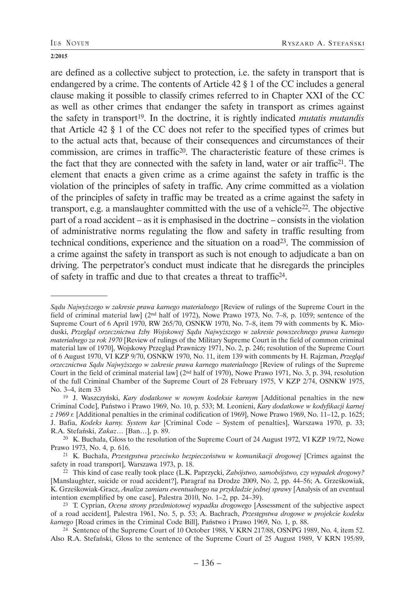are defined as a collective subject to protection, i.e. the safety in transport that is endangered by a crime. The contents of Article 42 § 1 of the CC includes a general clause making it possible to classify crimes referred to in Chapter XXI of the CC as well as other crimes that endanger the safety in transport as crimes against the safety in transport19. In the doctrine, it is rightly indicated *mutatis mutandis*  that Article 42 § 1 of the CC does not refer to the specified types of crimes but to the actual acts that, because of their consequences and circumstances of their commission, are crimes in traffic20. The characteristic feature of these crimes is the fact that they are connected with the safety in land, water or air traffic21. The element that enacts a given crime as a crime against the safety in traffic is the violation of the principles of safety in traffic. Any crime committed as a violation of the principles of safety in traffic may be treated as a crime against the safety in transport, e.g. a manslaughter committed with the use of a vehicle22. The objective part of a road accident – as it is emphasised in the doctrine – consists in the violation of administrative norms regulating the flow and safety in traffic resulting from technical conditions, experience and the situation on a road23. The commission of a crime against the safety in transport as such is not enough to adjudicate a ban on driving. The perpetrator's conduct must indicate that he disregards the principles of safety in traffic and due to that creates a threat to traffic24.

*Sądu Najwyższego w zakresie prawa karnego materialnego* [Review of rulings of the Supreme Court in the field of criminal material law] (2nd half of 1972), Nowe Prawo 1973, No. 7–8, p. 1059; sentence of the Supreme Court of 6 April 1970, RW 265/70, OSNKW 1970, No. 7–8, item 79 with comments by K. Mioduski, *Przegląd orzecznictwa Izby Wojskowej Sądu Najwyższego w zakresie powszechnego prawa karnego materialnego za rok 1970* [Review of rulings of the Military Supreme Court in the field of common criminal material law of 1970], Wojskowy Przegląd Prawniczy 1971, No. 2, p. 246; resolution of the Supreme Court of 6 August 1970, VI KZP 9/70, OSNKW 1970, No. 11, item 139 with comments by H. Rajzman, *Przegląd orzecznictwa Sądu Najwyższego w zakresie prawa karnego materialnego* [Review of rulings of the Supreme Court in the field of criminal material law] (2nd half of 1970), Nowe Prawo 1971, No. 3, p. 394, resolution of the full Criminal Chamber of the Supreme Court of 28 February 1975, V KZP 2/74, OSNKW 1975, No. 3–4, item 33

<sup>19</sup> J. Waszczyński, *Kary dodatkowe w nowym kodeksie karnym* [Additional penalties in the new Criminal Code], Państwo i Prawo 1969, No. 10, p. 533; M. Leonieni, *Kary dodatkowe w kodyfikacji karnej z 1969 r.* [Additional penalties in the criminal codification of 1969], Nowe Prawo 1969, No. 11–12, p. 1625; J. Bafia, *Kodeks karny. System kar* [Criminal Code – System of penalties], Warszawa 1970, p. 33; R.A. Stefański, *Zakaz*… [Ban…], p. 89.

<sup>20</sup> K. Buchała, Gloss to the resolution of the Supreme Court of 24 August 1972, VI KZP 19/72, Nowe Prawo 1973, No. 4, p. 616.

<sup>21</sup> K. Buchała, *Przestępstwa przeciwko bezpieczeństwu w komunikacji drogowej* [Crimes against the safety in road transport], Warszawa 1973, p. 18.

<sup>22</sup> This kind of case really took place (L.K. Paprzycki, *Zabójstwo, samobójstwo, czy wypadek drogowy?* [Manslaughter, suicide or road accident?], Paragraf na Drodze 2009, No. 2, pp. 44–56; A. Grześkowiak, K. Grześkowiak-Gracz, *Analiza zamiaru ewentualnego na przykładzie jednej sprawy* [Analysis of an eventual intention exemplified by one case], Palestra 2010, No. 1–2, pp. 24–39).

<sup>23</sup> T. Cyprian, *Ocena strony przedmiotowej wypadku drogowego* [Assessment of the subjective aspect of a road accident], Palestra 1961, No. 5, p. 53; A. Bachrach, *Przestępstwa drogowe w projekcie kodeku karnego* [Road crimes in the Criminal Code Bill], Państwo i Prawo 1969, No. 1, p. 88.

<sup>24</sup> Sentence of the Supreme Court of 10 October 1988, V KRN 217/88, OSNPG 1989, No. 4, item 52. Also R.A. Stefański, Gloss to the sentence of the Supreme Court of 25 August 1989, V KRN 195/89,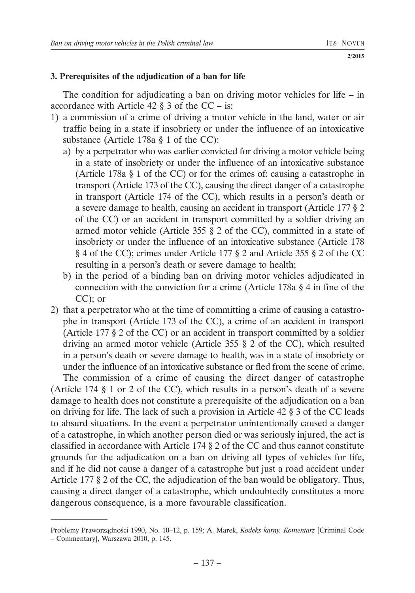## **3. Prerequisites of the adjudication of a ban for life**

The condition for adjudicating a ban on driving motor vehicles for life  $-$  in accordance with Article  $42 \,$ § 3 of the CC – is:

- 1) a commission of a crime of driving a motor vehicle in the land, water or air traffic being in a state if insobriety or under the influence of an intoxicative substance (Article 178a § 1 of the CC):
	- a) by a perpetrator who was earlier convicted for driving a motor vehicle being in a state of insobriety or under the influence of an intoxicative substance (Article 178a § 1 of the CC) or for the crimes of: causing a catastrophe in transport (Article 173 of the CC), causing the direct danger of a catastrophe in transport (Article 174 of the CC), which results in a person's death or a severe damage to health, causing an accident in transport (Article 177 § 2 of the CC) or an accident in transport committed by a soldier driving an armed motor vehicle (Article 355 § 2 of the CC), committed in a state of insobriety or under the influence of an intoxicative substance (Article 178 § 4 of the CC); crimes under Article 177 § 2 and Article 355 § 2 of the CC resulting in a person's death or severe damage to health;
	- b) in the period of a binding ban on driving motor vehicles adjudicated in connection with the conviction for a crime (Article 178a § 4 in fine of the CC); or
- 2) that a perpetrator who at the time of committing a crime of causing a catastrophe in transport (Article 173 of the CC), a crime of an accident in transport (Article 177 § 2 of the CC) or an accident in transport committed by a soldier driving an armed motor vehicle (Article 355 § 2 of the CC), which resulted in a person's death or severe damage to health, was in a state of insobriety or under the influence of an intoxicative substance or fled from the scene of crime.

The commission of a crime of causing the direct danger of catastrophe (Article 174 § 1 or 2 of the CC), which results in a person's death of a severe damage to health does not constitute a prerequisite of the adjudication on a ban on driving for life. The lack of such a provision in Article 42 § 3 of the CC leads to absurd situations. In the event a perpetrator unintentionally caused a danger of a catastrophe, in which another person died or was seriously injured, the act is classified in accordance with Article 174 § 2 of the CC and thus cannot constitute grounds for the adjudication on a ban on driving all types of vehicles for life, and if he did not cause a danger of a catastrophe but just a road accident under Article 177 § 2 of the CC, the adjudication of the ban would be obligatory. Thus, causing a direct danger of a catastrophe, which undoubtedly constitutes a more dangerous consequence, is a more favourable classification.

Problemy Praworządności 1990, No. 10–12, p. 159; A. Marek, *Kodeks karny. Komentarz* [Criminal Code – Commentary], Warszawa 2010, p. 145.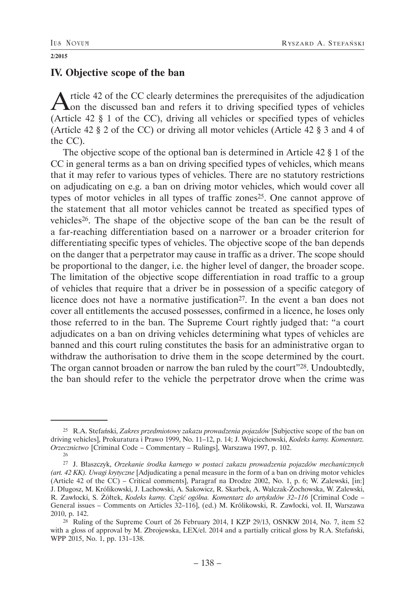## **IV. Objective scope of the ban**

Article 42 of the CC clearly determines the prerequisites of the adjudication on the discussed ban and refers it to driving specified types of vehicles (Article 42 § 1 of the CC), driving all vehicles or specified types of vehicles (Article 42 § 2 of the CC) or driving all motor vehicles (Article 42 § 3 and 4 of the CC).

The objective scope of the optional ban is determined in Article 42 § 1 of the CC in general terms as a ban on driving specified types of vehicles, which means that it may refer to various types of vehicles. There are no statutory restrictions on adjudicating on e.g. a ban on driving motor vehicles, which would cover all types of motor vehicles in all types of traffic zones<sup>25</sup>. One cannot approve of the statement that all motor vehicles cannot be treated as specified types of vehicles26. The shape of the objective scope of the ban can be the result of a far-reaching differentiation based on a narrower or a broader criterion for differentiating specific types of vehicles. The objective scope of the ban depends on the danger that a perpetrator may cause in traffic as a driver. The scope should be proportional to the danger, i.e. the higher level of danger, the broader scope. The limitation of the objective scope differentiation in road traffic to a group of vehicles that require that a driver be in possession of a specific category of licence does not have a normative justification<sup>27</sup>. In the event a ban does not cover all entitlements the accused possesses, confirmed in a licence, he loses only those referred to in the ban. The Supreme Court rightly judged that: "a court adjudicates on a ban on driving vehicles determining what types of vehicles are banned and this court ruling constitutes the basis for an administrative organ to withdraw the authorisation to drive them in the scope determined by the court. The organ cannot broaden or narrow the ban ruled by the court"<sup>28</sup>. Undoubtedly, the ban should refer to the vehicle the perpetrator drove when the crime was

<sup>25</sup> R.A. Stefański, *Zakres przedmiotowy zakazu prowadzenia pojazdów* [Subjective scope of the ban on driving vehicles], Prokuratura i Prawo 1999, No. 11–12, p. 14; J. Wojciechowski, *Kodeks karny. Komentarz. Orzecznictwo* [Criminal Code – Commentary – Rulings], Warszawa 1997, p. 102.

<sup>26</sup>

<sup>27</sup> J. Błaszczyk, *Orzekanie środka karnego w postaci zakazu prowadzenia pojazdów mechanicznych (art. 42 KK). Uwagi krytyczne* [Adjudicating a penal measure in the form of a ban on driving motor vehicles (Article 42 of the CC) – Critical comments], Paragraf na Drodze 2002, No. 1, p. 6; W. Zalewski, [in:] J. Długosz, M. Królikowski, J. Lachowski, A. Sakowicz, R. Skarbek, A. Walczak-Żochowska, W. Zalewski, R. Zawłocki, S. Żółtek, *Kodeks karny. Część ogólna. Komentarz do artykułów 32–116* [Criminal Code – General issues – Comments on Articles 32–116], (ed.) M. Królikowski, R. Zawłocki, vol. II, Warszawa 2010, p. 142.

<sup>28</sup> Ruling of the Supreme Court of 26 February 2014, I KZP 29/13, OSNKW 2014, No. 7, item 52 with a gloss of approval by M. Zbrojewska, LEX/el. 2014 and a partially critical gloss by R.A. Stefański, WPP 2015, No. 1, pp. 131–138.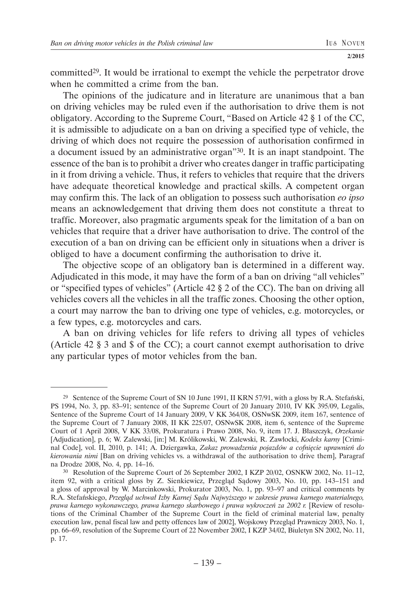committed29. It would be irrational to exempt the vehicle the perpetrator drove when he committed a crime from the ban.

The opinions of the judicature and in literature are unanimous that a ban on driving vehicles may be ruled even if the authorisation to drive them is not obligatory. According to the Supreme Court, "Based on Article 42 § 1 of the CC, it is admissible to adjudicate on a ban on driving a specified type of vehicle, the driving of which does not require the possession of authorisation confirmed in a document issued by an administrative organ"30. It is an inapt standpoint. The essence of the ban is to prohibit a driver who creates danger in traffic participating in it from driving a vehicle. Thus, it refers to vehicles that require that the drivers have adequate theoretical knowledge and practical skills. A competent organ may confirm this. The lack of an obligation to possess such authorisation *eo ipso* means an acknowledgement that driving them does not constitute a threat to traffic. Moreover, also pragmatic arguments speak for the limitation of a ban on vehicles that require that a driver have authorisation to drive. The control of the execution of a ban on driving can be efficient only in situations when a driver is obliged to have a document confirming the authorisation to drive it.

The objective scope of an obligatory ban is determined in a different way. Adjudicated in this mode, it may have the form of a ban on driving "all vehicles" or "specified types of vehicles" (Article 42 § 2 of the CC). The ban on driving all vehicles covers all the vehicles in all the traffic zones. Choosing the other option, a court may narrow the ban to driving one type of vehicles, e.g. motorcycles, or a few types, e.g. motorcycles and cars.

A ban on driving vehicles for life refers to driving all types of vehicles (Article 42 § 3 and \$ of the CC); a court cannot exempt authorisation to drive any particular types of motor vehicles from the ban.

<sup>&</sup>lt;sup>29</sup> Sentence of the Supreme Court of SN 10 June 1991, II KRN 57/91, with a gloss by R.A. Stefański, PS 1994, No. 3, pp. 83–91; sentence of the Supreme Court of 20 January 2010, IV KK 395/09, Legalis, Sentence of the Supreme Court of 14 January 2009, V KK 364/08, OSNwSK 2009, item 167, sentence of the Supreme Court of 7 January 2008, II KK 225/07, OSNwSK 2008, item 6, sentence of the Supreme Court of 1 April 2008, V KK 33/08, Prokuratura i Prawo 2008, No. 9, item 17. J. Błaszczyk, *Orzekanie* [Adjudication], p. 6; W. Zalewski, [in:] M. Królikowski, W. Zalewski, R. Zawłocki, *Kodeks karny* [Criminal Code], vol. II, 2010, p. 141; A. Dziergawka, *Zakaz prowadzenia pojazdów a cofnięcie uprawnień do kierowania nimi* [Ban on driving vehicles vs. a withdrawal of the authorisation to drive them], Paragraf na Drodze 2008, No. 4, pp. 14–16.

<sup>30</sup> Resolution of the Supreme Court of 26 September 2002, I KZP 20/02, OSNKW 2002, No. 11–12, item 92, with a critical gloss by Z. Sienkiewicz, Przegląd Sądowy 2003, No. 10, pp. 143–151 and a gloss of approval by W. Marcinkowski, Prokurator 2003, No. 1, pp. 93–97 and critical comments by R.A. Stefańskiego, *Przegląd uchwał Izby Karnej Sądu Najwyższego w zakresie prawa karnego materialnego, prawa karnego wykonawczego, prawa karnego skarbowego i prawa wykroczeń za 2002 r.* [Review of resolutions of the Criminal Chamber of the Supreme Court in the field of criminal material law, penalty execution law, penal fiscal law and petty offences law of 2002], Wojskowy Przegląd Prawniczy 2003, No. 1, pp. 66–69, resolution of the Supreme Court of 22 November 2002, I KZP 34/02, Biuletyn SN 2002, No. 11, p. 17.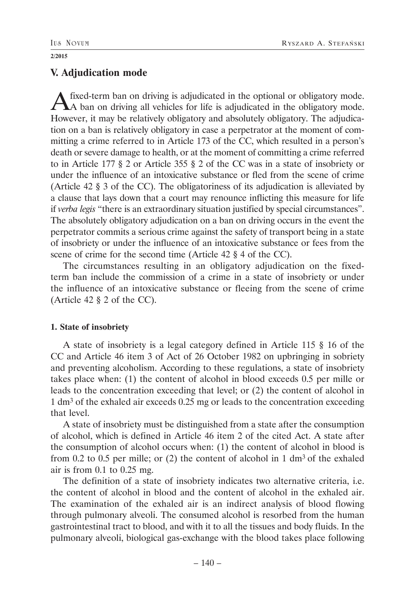# **V. Adjudication mode**

A fixed-term ban on driving is adjudicated in the optional or obligatory mode.<br>A ban on driving all vehicles for life is adjudicated in the obligatory mode. However, it may be relatively obligatory and absolutely obligatory. The adjudication on a ban is relatively obligatory in case a perpetrator at the moment of committing a crime referred to in Article 173 of the CC, which resulted in a person's death or severe damage to health, or at the moment of committing a crime referred to in Article 177 § 2 or Article 355 § 2 of the CC was in a state of insobriety or under the influence of an intoxicative substance or fled from the scene of crime (Article 42 § 3 of the CC). The obligatoriness of its adjudication is alleviated by a clause that lays down that a court may renounce inflicting this measure for life if *verba legis* "there is an extraordinary situation justified by special circumstances". The absolutely obligatory adjudication on a ban on driving occurs in the event the perpetrator commits a serious crime against the safety of transport being in a state of insobriety or under the influence of an intoxicative substance or fees from the scene of crime for the second time (Article 42 § 4 of the CC).

The circumstances resulting in an obligatory adjudication on the fixedterm ban include the commission of a crime in a state of insobriety or under the influence of an intoxicative substance or fleeing from the scene of crime (Article 42 § 2 of the CC).

## **1. State of insobriety**

A state of insobriety is a legal category defined in Article 115 § 16 of the CC and Article 46 item 3 of Act of 26 October 1982 on upbringing in sobriety and preventing alcoholism. According to these regulations, a state of insobriety takes place when: (1) the content of alcohol in blood exceeds 0.5 per mille or leads to the concentration exceeding that level; or (2) the content of alcohol in 1 dm3 of the exhaled air exceeds 0.25 mg or leads to the concentration exceeding that level.

A state of insobriety must be distinguished from a state after the consumption of alcohol, which is defined in Article 46 item 2 of the cited Act. A state after the consumption of alcohol occurs when: (1) the content of alcohol in blood is from 0.2 to 0.5 per mille; or  $(2)$  the content of alcohol in 1 dm<sup>3</sup> of the exhaled air is from 0.1 to 0.25 mg.

The definition of a state of insobriety indicates two alternative criteria, i.e. the content of alcohol in blood and the content of alcohol in the exhaled air. The examination of the exhaled air is an indirect analysis of blood flowing through pulmonary alveoli. The consumed alcohol is resorbed from the human gastrointestinal tract to blood, and with it to all the tissues and body fluids. In the pulmonary alveoli, biological gas-exchange with the blood takes place following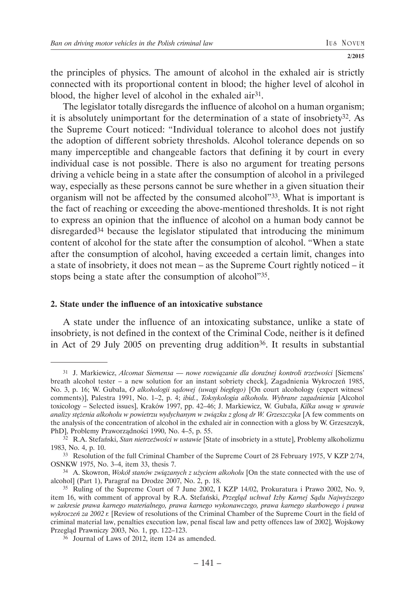the principles of physics. The amount of alcohol in the exhaled air is strictly connected with its proportional content in blood; the higher level of alcohol in blood, the higher level of alcohol in the exhaled air<sup>31</sup>.

The legislator totally disregards the influence of alcohol on a human organism; it is absolutely unimportant for the determination of a state of insobriety $32$ . As the Supreme Court noticed: "Individual tolerance to alcohol does not justify the adoption of different sobriety thresholds. Alcohol tolerance depends on so many imperceptible and changeable factors that defining it by court in every individual case is not possible. There is also no argument for treating persons driving a vehicle being in a state after the consumption of alcohol in a privileged way, especially as these persons cannot be sure whether in a given situation their organism will not be affected by the consumed alcohol"33. What is important is the fact of reaching or exceeding the above-mentioned thresholds. It is not right to express an opinion that the influence of alcohol on a human body cannot be disregarded34 because the legislator stipulated that introducing the minimum content of alcohol for the state after the consumption of alcohol. "When a state after the consumption of alcohol, having exceeded a certain limit, changes into a state of insobriety, it does not mean – as the Supreme Court rightly noticed – it stops being a state after the consumption of alcohol"35.

### **2. State under the influence of an intoxicative substance**

A state under the influence of an intoxicating substance, unlike a state of insobriety, is not defined in the context of the Criminal Code, neither is it defined in Act of 29 July 2005 on preventing drug addition<sup>36</sup>. It results in substantial

<sup>31</sup> J. Markiewicz, *Alcomat Siemensa — nowe rozwiązanie dla doraźnej kontroli trzeźwości* [Siemens' breath alcohol tester – a new solution for an instant sobriety check], Zagadnienia Wykroczeń 1985, No. 3, p. 16; W. Gubała, *O alkohologii sądowej (uwagi biegłego)* [On court alcohology (expert witness' comments)], Palestra 1991, No. 1–2, p. 4; *ibid.*, *Toksykologia alkoholu. Wybrane zagadnienia* [Alcohol toxicology – Selected issues], Kraków 1997, pp. 42–46; J. Markiewicz, W. Gubała, *Kilka uwag w sprawie analizy stężenia alkoholu w powietrzu wydychanym w związku z glosą dr W. Grzeszczyka* [A few comments on the analysis of the concentration of alcohol in the exhaled air in connection with a gloss by W. Grzeszczyk, PhD], Problemy Praworządności 1990, No. 4–5, p. 55. 32 R.A. Stefański, *Stan nietrzeźwości w ustawie* [State of insobriety in a sttute], Problemy alkoholizmu

<sup>1983,</sup> No. 4, p. 10.

<sup>33</sup> Resolution of the full Criminal Chamber of the Supreme Court of 28 February 1975, V KZP 2/74, OSNKW 1975, No. 3–4, item 33, thesis 7.

<sup>34</sup> A. Skowron, *Wokół stanów związanych z użyciem alkoholu* [On the state connected with the use of alcohol] (Part 1), Paragraf na Drodze 2007, No. 2, p. 18.

<sup>35</sup> Ruling of the Supreme Court of 7 June 2002, I KZP 14/02, Prokuratura i Prawo 2002, No. 9, item 16, with comment of approval by R.A. Stefański, *Przegląd uchwał Izby Karnej Sądu Najwyższego w zakresie prawa karnego materialnego, prawa karnego wykonawczego, prawa karnego skarbowego i prawa wykroczeń za 2002 r.* [Review of resolutions of the Criminal Chamber of the Supreme Court in the field of criminal material law, penalties execution law, penal fiscal law and petty offences law of 2002], Wojskowy Przegląd Prawniczy 2003, No. 1, pp. 122–123.

<sup>36</sup> Journal of Laws of 2012, item 124 as amended.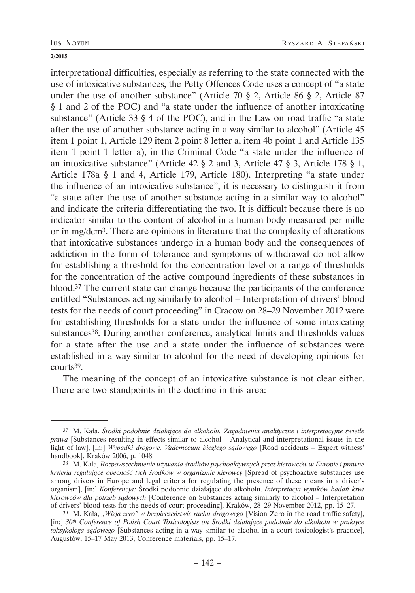interpretational difficulties, especially as referring to the state connected with the use of intoxicative substances, the Petty Offences Code uses a concept of "a state under the use of another substance" (Article 70 § 2, Article 86 § 2, Article 87 § 1 and 2 of the POC) and "a state under the influence of another intoxicating substance" (Article 33 § 4 of the POC), and in the Law on road traffic "a state after the use of another substance acting in a way similar to alcohol" (Article 45 item 1 point 1, Article 129 item 2 point 8 letter a, item 4b point 1 and Article 135 item 1 point 1 letter a), in the Criminal Code "a state under the influence of an intoxicative substance" (Article 42 § 2 and 3, Article 47 § 3, Article 178 § 1, Article 178a § 1 and 4, Article 179, Article 180). Interpreting "a state under the influence of an intoxicative substance", it is necessary to distinguish it from "a state after the use of another substance acting in a similar way to alcohol" and indicate the criteria differentiating the two. It is difficult because there is no indicator similar to the content of alcohol in a human body measured per mille or in mg/dcm3. There are opinions in literature that the complexity of alterations that intoxicative substances undergo in a human body and the consequences of addiction in the form of tolerance and symptoms of withdrawal do not allow for establishing a threshold for the concentration level or a range of thresholds for the concentration of the active compound ingredients of these substances in blood.37 The current state can change because the participants of the conference entitled "Substances acting similarly to alcohol – Interpretation of drivers' blood tests for the needs of court proceeding" in Cracow on 28–29 November 2012 were for establishing thresholds for a state under the influence of some intoxicating substances38. During another conference, analytical limits and thresholds values for a state after the use and a state under the influence of substances were established in a way similar to alcohol for the need of developing opinions for courts39.

The meaning of the concept of an intoxicative substance is not clear either. There are two standpoints in the doctrine in this area:

<sup>37</sup> M. Kała, *Środki podobnie działające do alkoholu. Zagadnienia analityczne i interpretacyjne świetle prawa* [Substances resulting in effects similar to alcohol – Analytical and interpretational issues in the light of law], [in:] *Wypadki drogowe. Vademecum biegłego sądowego* [Road accidents – Expert witness' handbook], Kraków 2006, p. 1048.

<sup>38</sup> M. Kała, *Rozpowszechnienie używania środków psychoaktywnych przez kierowców w Europie i prawne kryteria regulujące obecność tych środków w organizmie kierowcy* [Spread of psychoactive substances use among drivers in Europe and legal criteria for regulating the presence of these means in a driver's organism], [in:] *Konferencja:* Środki podobnie działające do alkoholu. *Interpretacja wyników badań krwi kierowców dla potrzeb sądowych* [Conference on Substances acting similarly to alcohol – Interpretation of drivers' blood tests for the needs of court proceeding], Kraków, 28–29 November 2012, pp. 15–27.

<sup>&</sup>lt;sup>39</sup> M. Kała, "Wizja zero" w bezpieczeństwie ruchu drogowego [Vision Zero in the road traffic safety], [in:] *30th Conference of Polish Court Toxicologists on Środki działające podobnie do alkoholu w praktyce toksykologa sądowego* [Substances acting in a way similar to alcohol in a court toxicologist's practice], Augustów, 15–17 May 2013, Conference materials, pp. 15–17.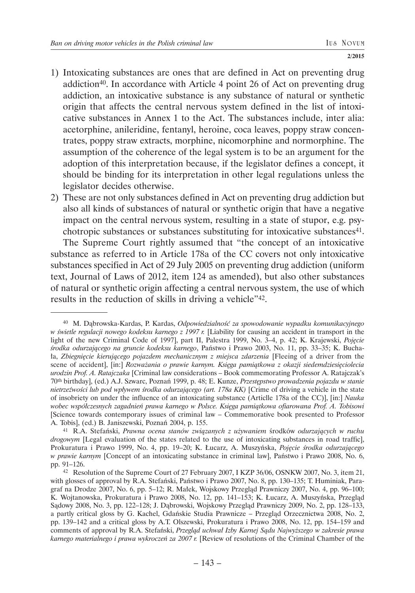- 1) Intoxicating substances are ones that are defined in Act on preventing drug addiction<sup>40</sup>. In accordance with Article 4 point 26 of Act on preventing drug addiction, an intoxicative substance is any substance of natural or synthetic origin that affects the central nervous system defined in the list of intoxicative substances in Annex 1 to the Act. The substances include, inter alia: acetorphine, anileridine, fentanyl, heroine, coca leaves, poppy straw concentrates, poppy straw extracts, morphine, nicomorphine and normorphine. The assumption of the coherence of the legal system is to be an argument for the adoption of this interpretation because, if the legislator defines a concept, it should be binding for its interpretation in other legal regulations unless the legislator decides otherwise.
- 2) These are not only substances defined in Act on preventing drug addiction but also all kinds of substances of natural or synthetic origin that have a negative impact on the central nervous system, resulting in a state of stupor, e.g. psychotropic substances or substances substituting for intoxicative substances<sup>41</sup>.

The Supreme Court rightly assumed that "the concept of an intoxicative substance as referred to in Article 178a of the CC covers not only intoxicative substances specified in Act of 29 July 2005 on preventing drug addiction (uniform text, Journal of Laws of 2012, item 124 as amended), but also other substances of natural or synthetic origin affecting a central nervous system, the use of which results in the reduction of skills in driving a vehicle"42.

<sup>40</sup> M. Dąbrowska-Kardas, P. Kardas, *Odpowiedzialność za spowodowanie wypadku komunikacyjnego w świetle regulacji nowego kodeksu karnego z 1997 r.* [Liability for causing an accident in transport in the light of the new Criminal Code of 1997], part II, Palestra 1999, No. 3–4, p. 42; K. Krajewski, *Pojęcie środka odurzającego na gruncie kodeksu karnego*, Państwo i Prawo 2003, No. 11, pp. 33–35; K. Buchała, *Zbiegnięcie kierującego pojazdem mechanicznym z miejsca zdarzenia* [Fleeing of a driver from the scene of accident], [in:] *Rozważania o prawie karnym. Księga pamiątkowa z okazji siedemdziesięciolecia urodzin Prof. A. Ratajczaka* [Criminal law considerations – Book commemorating Professor A. Ratajczak's 70th birthday], (ed.) A.J. Szwarc, Poznań 1999, p. 48; E. Kunze, *Przestępstwo prowadzenia pojazdu w stanie nietrzeźwości lub pod wpływem środka odurzającego (art. 178a KK)* [Crime of driving a vehicle in the state of insobriety on under the influence of an intoxicating substance (Articlle 178a of the CC)], [in:] *Nauka wobec współczesnych zagadnień prawa karnego w Polsce. Księga pamiątkowa ofiarowana Prof. A. Tobisowi* [Science towards contemporary issues of criminal law – Commemorative book presented to Professor A. Tobis], (ed.) B. Janiszewski, Poznań 2004, p. 155.

<sup>41</sup> R.A. Stefański, *Prawna ocena stanów związanych z używaniem* środków *odurzających w ruchu drogowym* [Legal evaluation of the states related to the use of intoxicating substances in road traffic], Prokuratura i Prawo 1999, No. 4, pp. 19–20; K. Łucarz, A. Muszyńska, *Pojęcie środka odurzającego w prawie karnym* [Concept of an intoxicating substance in criminal law], Państwo i Prawo 2008, No. 6, pp. 91–126.

<sup>42</sup> Resolution of the Supreme Court of 27 February 2007, I KZP 36/06, OSNKW 2007, No. 3, item 21, with glosses of approval by R.A. Stefański, Państwo i Prawo 2007, No. 8, pp. 130–135; T. Huminiak, Paragraf na Drodze 2007, No. 6, pp. 5–12; R. Małek, Wojskowy Przegląd Prawniczy 2007, No. 4, pp. 96–100; K. Wojtanowska, Prokuratura i Prawo 2008, No. 12, pp. 141–153; K. Łucarz, A. Muszyńska, Przegląd Sądowy 2008, No. 3, pp. 122–128; J. Dąbrowski, Wojskowy Przegląd Prawniczy 2009, No. 2, pp. 128–133, a partly critical gloss by G. Kachel, Gdańskie Studia Prawnicze – Przegląd Orzecznictwa 2008, No. 2, pp. 139–142 and a critical gloss by A.T. Olszewski, Prokuratura i Prawo 2008, No. 12, pp. 154–159 and comments of approval by R.A. Stefański, *Przegląd uchwał Izby Karnej Sądu Najwyższego w zakresie prawa karnego materialnego i prawa wykroczeń za 2007 r.* [Review of resolutions of the Criminal Chamber of the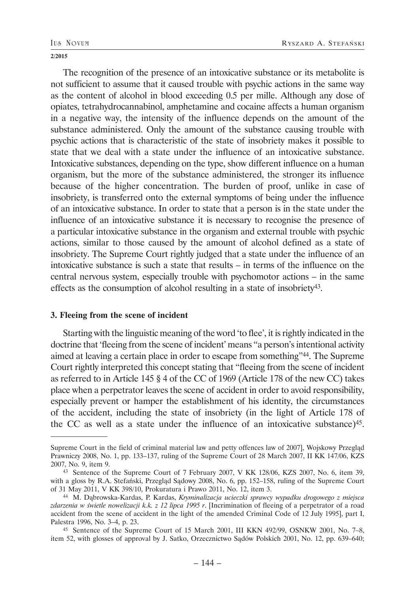The recognition of the presence of an intoxicative substance or its metabolite is not sufficient to assume that it caused trouble with psychic actions in the same way as the content of alcohol in blood exceeding 0.5 per mille. Although any dose of opiates, tetrahydrocannabinol, amphetamine and cocaine affects a human organism in a negative way, the intensity of the influence depends on the amount of the substance administered. Only the amount of the substance causing trouble with psychic actions that is characteristic of the state of insobriety makes it possible to state that we deal with a state under the influence of an intoxicative substance. Intoxicative substances, depending on the type, show different influence on a human organism, but the more of the substance administered, the stronger its influence because of the higher concentration. The burden of proof, unlike in case of insobriety, is transferred onto the external symptoms of being under the influence of an intoxicative substance. In order to state that a person is in the state under the influence of an intoxicative substance it is necessary to recognise the presence of a particular intoxicative substance in the organism and external trouble with psychic actions, similar to those caused by the amount of alcohol defined as a state of insobriety. The Supreme Court rightly judged that a state under the influence of an intoxicative substance is such a state that results – in terms of the influence on the central nervous system, especially trouble with psychomotor actions – in the same effects as the consumption of alcohol resulting in a state of insobriety43.

### **3. Fleeing from the scene of incident**

Starting with the linguistic meaning of the word 'to flee', it is rightly indicated in the doctrine that 'fleeing from the scene of incident' means "a person's intentional activity aimed at leaving a certain place in order to escape from something"44. The Supreme Court rightly interpreted this concept stating that "fleeing from the scene of incident as referred to in Article 145 § 4 of the CC of 1969 (Article 178 of the new CC) takes place when a perpetrator leaves the scene of accident in order to avoid responsibility, especially prevent or hamper the establishment of his identity, the circumstances of the accident, including the state of insobriety (in the light of Article 178 of the CC as well as a state under the influence of an intoxicative substance)45.

Supreme Court in the field of criminal material law and petty offences law of 2007], Wojskowy Przegląd Prawniczy 2008, No. 1, pp. 133–137, ruling of the Supreme Court of 28 March 2007, II KK 147/06, KZS 2007, No. 9, item 9.

<sup>43</sup> Sentence of the Supreme Court of 7 February 2007, V KK 128/06, KZS 2007, No. 6, item 39, with a gloss by R.A. Stefański, Przegląd Sądowy 2008, No. 6, pp. 152–158, ruling of the Supreme Court of 31 May 2011, V KK 398/10, Prokuratura i Prawo 2011, No. 12, item 3.

<sup>44</sup> M. Dąbrowska-Kardas, P. Kardas, *Kryminalizacja ucieczki sprawcy wypadku drogowego z miejsca zdarzenia w świetle nowelizacji k.k. z 12 lipca 1995 r*. [Incrimination of fleeing of a perpetrator of a road accident from the scene of accident in the light of the amended Criminal Code of 12 July 1995], part I, Palestra 1996, No. 3–4, p. 23.

<sup>45</sup> Sentence of the Supreme Court of 15 March 2001, III KKN 492/99, OSNKW 2001, No. 7–8, item 52, with glosses of approval by J. Satko, Orzecznictwo Sądów Polskich 2001, No. 12, pp. 639–640;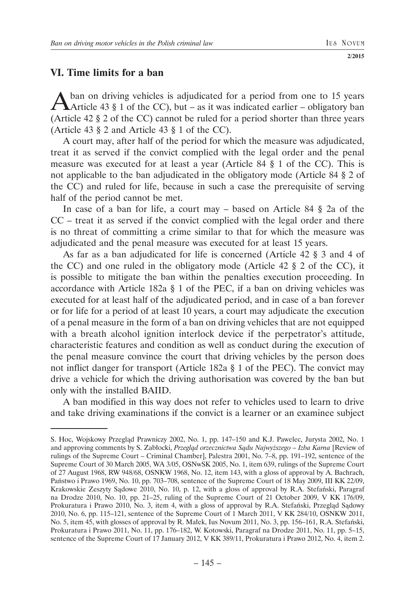# **VI. Time limits for a ban**

A ban on driving vehicles is adjudicated for a period from one to 15 years<br>Article 43 § 1 of the CC), but – as it was indicated earlier – obligatory ban (Article 42 § 2 of the CC) cannot be ruled for a period shorter than three years (Article 43 § 2 and Article 43 § 1 of the CC).

A court may, after half of the period for which the measure was adjudicated, treat it as served if the convict complied with the legal order and the penal measure was executed for at least a year (Article 84 § 1 of the CC). This is not applicable to the ban adjudicated in the obligatory mode (Article 84 § 2 of the CC) and ruled for life, because in such a case the prerequisite of serving half of the period cannot be met.

In case of a ban for life, a court may – based on Article 84 § 2a of the CC – treat it as served if the convict complied with the legal order and there is no threat of committing a crime similar to that for which the measure was adjudicated and the penal measure was executed for at least 15 years.

As far as a ban adjudicated for life is concerned (Article 42 § 3 and 4 of the CC) and one ruled in the obligatory mode (Article 42 § 2 of the CC), it is possible to mitigate the ban within the penalties execution proceeding. In accordance with Article 182a § 1 of the PEC, if a ban on driving vehicles was executed for at least half of the adjudicated period, and in case of a ban forever or for life for a period of at least 10 years, a court may adjudicate the execution of a penal measure in the form of a ban on driving vehicles that are not equipped with a breath alcohol ignition interlock device if the perpetrator's attitude, characteristic features and condition as well as conduct during the execution of the penal measure convince the court that driving vehicles by the person does not inflict danger for transport (Article 182a § 1 of the PEC). The convict may drive a vehicle for which the driving authorisation was covered by the ban but only with the installed BAIID.

A ban modified in this way does not refer to vehicles used to learn to drive and take driving examinations if the convict is a learner or an examinee subject

S. Hoc, Wojskowy Przegląd Prawniczy 2002, No. 1, pp. 147–150 and K.J. Pawelec, Jurysta 2002, No. 1 and approving comments by S. Zabłocki, *Przegląd orzecznictwa Sądu Najwyższego – Izba Karna* [Review of rulings of the Supreme Court – Criminal Chamber], Palestra 2001, No. 7–8, pp. 191–192, sentence of the Supreme Court of 30 March 2005, WA 3/05, OSNwSK 2005, No. 1, item 639, rulings of the Supreme Court of 27 August 1968, RW 948/68, OSNKW 1968, No. 12, item 143, with a gloss of approval by A. Bachrach, Państwo i Prawo 1969, No. 10, pp. 703–708, sentence of the Supreme Court of 18 May 2009, III KK 22/09, Krakowskie Zeszyty Sądowe 2010, No. 10, p. 12, with a gloss of approval by R.A. Stefański, Paragraf na Drodze 2010, No. 10, pp. 21–25, ruling of the Supreme Court of 21 October 2009, V KK 176/09, Prokuratura i Prawo 2010, No. 3, item 4, with a gloss of approval by R.A. Stefański, Przegląd Sądowy 2010, No. 6, pp. 115–121, sentence of the Supreme Court of 1 March 2011, V KK 284/10, OSNKW 2011, No. 5, item 45, with glosses of approval by R. Małek, Ius Novum 2011, No. 3, pp. 156–161, R.A. Stefański, Prokuratura i Prawo 2011, No. 11, pp. 176–182, W. Kotowski, Paragraf na Drodze 2011, No. 11, pp. 5–15, sentence of the Supreme Court of 17 January 2012, V KK 389/11, Prokuratura i Prawo 2012, No. 4, item 2.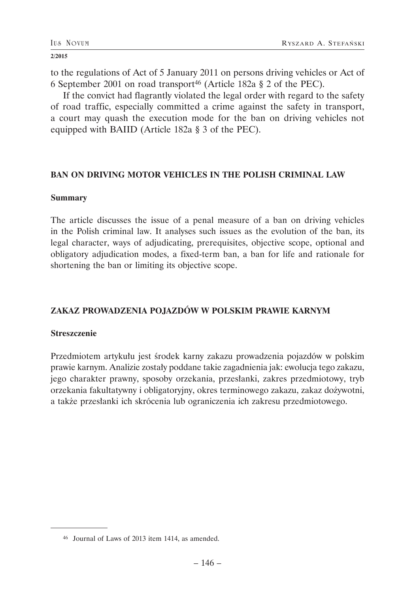to the regulations of Act of 5 January 2011 on persons driving vehicles or Act of 6 September 2001 on road transport46 (Article 182a § 2 of the PEC).

If the convict had flagrantly violated the legal order with regard to the safety of road traffic, especially committed a crime against the safety in transport, a court may quash the execution mode for the ban on driving vehicles not equipped with BAIID (Article 182a § 3 of the PEC).

## **BAN ON DRIVING MOTOR VEHICLES IN THE POLISH CRIMINAL LAW**

## **Summary**

The article discusses the issue of a penal measure of a ban on driving vehicles in the Polish criminal law. It analyses such issues as the evolution of the ban, its legal character, ways of adjudicating, prerequisites, objective scope, optional and obligatory adjudication modes, a fixed-term ban, a ban for life and rationale for shortening the ban or limiting its objective scope.

# **ZAKAZ PROWADZENIA POJAZDÓW W POLSKIM PRAWIE KARNYM**

## **Streszczenie**

Przedmiotem artykułu jest środek karny zakazu prowadzenia pojazdów w polskim prawie karnym. Analizie zostały poddane takie zagadnienia jak: ewolucja tego zakazu, jego charakter prawny, sposoby orzekania, przesłanki, zakres przedmiotowy, tryb orzekania fakultatywny i obligatoryjny, okres terminowego zakazu, zakaz dożywotni, a także przesłanki ich skrócenia lub ograniczenia ich zakresu przedmiotowego.

<sup>46</sup> Journal of Laws of 2013 item 1414, as amended.